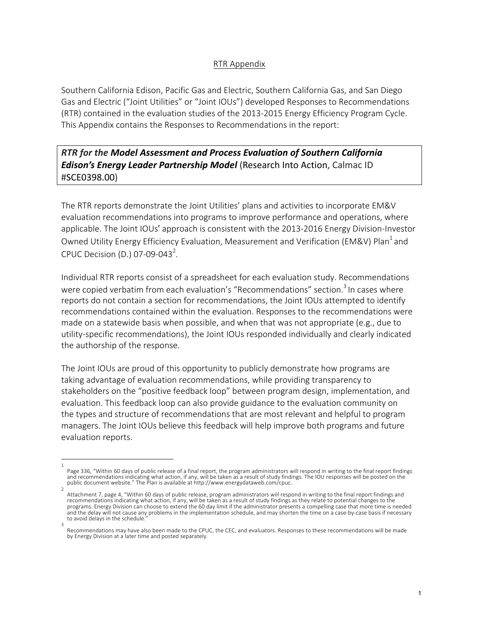## RTR Appendix

Southern California Edison, Pacific Gas and Electric, Southern California Gas, and San Diego Gas and Electric ("Joint Utilities" or "Joint IOUs") developed Responses to Recommendations (RTR) contained in the evaluation studies of the 2013-2015 Energy Efficiency Program Cycle. This Appendix contains the Responses to Recommendations in the report:

**RTR** for the Model Assessment and Process Evaluation of Southern California *Edison's Energy Leader Partnership Model* (Research Into Action, Calmac ID #SCE0398.00)

The RTR reports demonstrate the Joint Utilities' plans and activities to incorporate EM&V evaluation recommendations into programs to improve performance and operations, where applicable. The Joint IOUs' approach is consistent with the 2013-2016 Energy Division-Investor Owned Utility Energy Efficiency Evaluation, Measurement and Verification (EM&V) Plan<sup>1</sup> and CPUC Decision (D.) 07-09-043<sup>2</sup>.

Individual RTR reports consist of a spreadsheet for each evaluation study. Recommendations were copied verbatim from each evaluation's "Recommendations" section.<sup>3</sup> In cases where reports do not contain a section for recommendations, the Joint IOUs attempted to identify recommendations contained within the evaluation. Responses to the recommendations were made on a statewide basis when possible, and when that was not appropriate (e.g., due to utility-specific recommendations), the Joint IOUs responded individually and clearly indicated the authorship of the response.

The Joint IOUs are proud of this opportunity to publicly demonstrate how programs are taking advantage of evaluation recommendations, while providing transparency to stakeholders on the "positive feedback loop" between program design, implementation, and evaluation. This feedback loop can also provide guidance to the evaluation community on the types and structure of recommendations that are most relevant and helpful to program managers. The Joint IOUs believe this feedback will help improve both programs and future evaluation reports.

<sup>1</sup>  Page 336, "Within 60 days of public release of a final report, the program administrators will respond in writing to the final report findings and recommendations indicating what action, if any, will be taken as a result of study findings. The IOU responses will be posted on the<br>public document website." The Plan is available at http://www.energydataweb.com/cpuc.

<sup>2</sup>  Attachment 7, page 4, "Within 60 days of public release, program administrators will respond in writing to the final report findings and recommendations indicating what action, if any, will be taken as a result of study findings as they relate to potential changes to the programs. Energy Division can choose to extend the 60 day limit if the administrator presents a compelling case that more time is needed and the delay will not cause any problems in the implementation schedule, and may shorten the time on a case-by-case basis if necessary to avoid delays in the schedule.

<sup>3</sup>  Recommendations may have also been made to the CPUC, the CEC, and evaluators. Responses to these recommendations will be made by Energy Division at a later time and posted separately.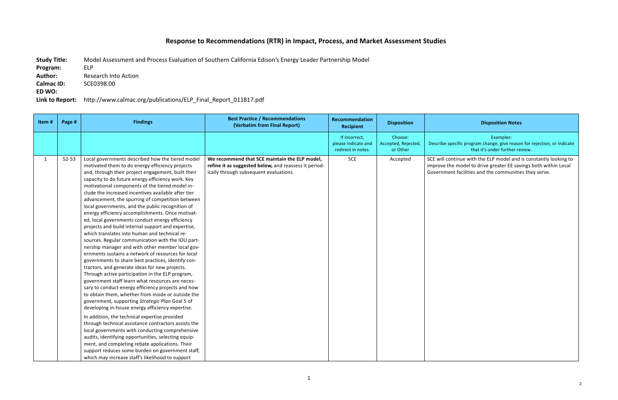## Response to Recommendations (RTR) in Impact, Process, and Market Assessment Studies

Study Title: Model Assessment and Process Evaluation of Southern California Edison's Energy Leader Partnership Model **Program:**  ELP **Author:** Research Into Action **Calmac ID:**  SCE0398.00 **ED WO:**  Link to Report: http://www.calmac.org/publications/ELP\_Final\_Report\_011817.pdf

## **Disposition Notes**

Examples: 

cific program change, give reason for rejection, or indicate that it's under further review.

tinue with the ELP model and is constantly looking to model to drive greater EE savings both within Local t facilities and the communities they serve.

| Item#        | Page # | <b>Findings</b>                                                                                                                                                                                                                                                                                                                                                                                                                                                                                                                                                                                                                                                                                                                                                                                                                                                                                                                                                                                                                                                                                                                                                                                                                                                                                                                                                                                                                                                                                                                                                                                                                | <b>Best Practice / Recommendations</b><br>(Verbatim from Final Report)                                                                           | Recommendation<br><b>Recipient</b>                         | <b>Disposition</b>                         |                                            |
|--------------|--------|--------------------------------------------------------------------------------------------------------------------------------------------------------------------------------------------------------------------------------------------------------------------------------------------------------------------------------------------------------------------------------------------------------------------------------------------------------------------------------------------------------------------------------------------------------------------------------------------------------------------------------------------------------------------------------------------------------------------------------------------------------------------------------------------------------------------------------------------------------------------------------------------------------------------------------------------------------------------------------------------------------------------------------------------------------------------------------------------------------------------------------------------------------------------------------------------------------------------------------------------------------------------------------------------------------------------------------------------------------------------------------------------------------------------------------------------------------------------------------------------------------------------------------------------------------------------------------------------------------------------------------|--------------------------------------------------------------------------------------------------------------------------------------------------|------------------------------------------------------------|--------------------------------------------|--------------------------------------------|
|              |        |                                                                                                                                                                                                                                                                                                                                                                                                                                                                                                                                                                                                                                                                                                                                                                                                                                                                                                                                                                                                                                                                                                                                                                                                                                                                                                                                                                                                                                                                                                                                                                                                                                |                                                                                                                                                  | If incorrect,<br>please indicate and<br>redirect in notes. | Choose:<br>Accepted, Rejected,<br>or Other | Describe sper                              |
| $\mathbf{1}$ | 52-53  | Local governments described how the tiered model<br>motivated them to do energy efficiency projects<br>and, through their project engagement, built their<br>capacity to do future energy efficiency work. Key<br>motivational components of the tiered model in-<br>clude the increased incentives available after tier<br>advancement, the spurring of competition between<br>local governments, and the public recognition of<br>energy efficiency accomplishments. Once motivat-<br>ed, local governments conduct energy efficiency<br>projects and build internal support and expertise,<br>which translates into human and technical re-<br>sources. Regular communication with the IOU part-<br>nership manager and with other member local gov-<br>ernments sustains a network of resources for local<br>governments to share best practices, identify con-<br>tractors, and generate ideas for new projects.<br>Through active participation in the ELP program,<br>government staff learn what resources are neces-<br>sary to conduct energy efficiency projects and how<br>to obtain them, whether from inside or outside the<br>government, supporting Strategic Plan Goal 5 of<br>developing in-house energy efficiency expertise.<br>In addition, the technical expertise provided<br>through technical assistance contractors assists the<br>local governments with conducting comprehensive<br>audits, identifying opportunities, selecting equip-<br>ment, and completing rebate applications. Their<br>support reduces some burden on government staff,<br>which may increase staff's likelihood to support | We recommend that SCE maintain the ELP model,<br>refine it as suggested below, and reassess it period-<br>ically through subsequent evaluations. | <b>SCE</b>                                                 | Accepted                                   | SCE will cont<br>improve the<br>Government |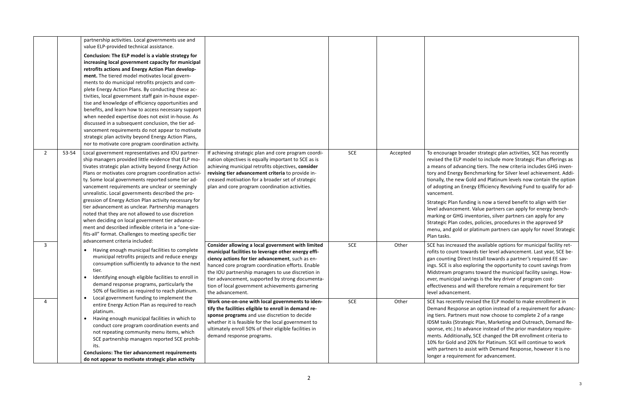ge broader strategic plan activities, SCE has recently ELP model to include more Strategic Plan offerings as advancing tiers. The new criteria includes GHG invenergy Benchmarking for Silver level achievement. Addi-I new Gold and Platinum levels now contain the option an Energy Efficiency Revolving Fund to qualify for ad-

an funding is now a tiered benefit to align with tier cement. Value partners can apply for energy bench-GHG inventories, silver partners can apply for any an codes, policies, procedures in the approved SP gold or platinum partners can apply for novel Strategic

reased the available options for municipal facility retant towards tier level advancement. Last year, SCE beg Direct Install towards a partner's required EE savalso exploring the opportunity to count savings from programs toward the municipal facility savings. Howipal savings is the key driver of program costss and will therefore remain a requirement for tier cement.

ently revised the ELP model to make enrollment in sponse an option instead of a requirement for advancintners must now choose to complete 2 of a range (Strategic Plan, Marketing and Outreach, Demand Re-.) to advance instead of the prior mandatory requireitionally, SCE changed the DR enrollment criteria to Id and 20% for Platinum. SCE will continue to work ers to assist with Demand Response, however it is no quirement for advancement.

|                |       | partnership activities. Local governments use and<br>value ELP-provided technical assistance.<br>Conclusion: The ELP model is a viable strategy for<br>increasing local government capacity for municipal<br>retrofits actions and Energy Action Plan develop-<br>ment. The tiered model motivates local govern-<br>ments to do municipal retrofits projects and com-<br>plete Energy Action Plans. By conducting these ac-<br>tivities, local government staff gain in-house exper-<br>tise and knowledge of efficiency opportunities and<br>benefits, and learn how to access necessary support<br>when needed expertise does not exist in-house. As<br>discussed in a subsequent conclusion, the tier ad-<br>vancement requirements do not appear to motivate                                                                             |                                                                                                                                                                                                                                                                                                                                                                                                                                                                                                                                                                                                                                                                                                         |                          |                |                                                                                                                                                                                                                                                                               |
|----------------|-------|----------------------------------------------------------------------------------------------------------------------------------------------------------------------------------------------------------------------------------------------------------------------------------------------------------------------------------------------------------------------------------------------------------------------------------------------------------------------------------------------------------------------------------------------------------------------------------------------------------------------------------------------------------------------------------------------------------------------------------------------------------------------------------------------------------------------------------------------|---------------------------------------------------------------------------------------------------------------------------------------------------------------------------------------------------------------------------------------------------------------------------------------------------------------------------------------------------------------------------------------------------------------------------------------------------------------------------------------------------------------------------------------------------------------------------------------------------------------------------------------------------------------------------------------------------------|--------------------------|----------------|-------------------------------------------------------------------------------------------------------------------------------------------------------------------------------------------------------------------------------------------------------------------------------|
| $\overline{2}$ | 53-54 | strategic plan activity beyond Energy Action Plans,<br>nor to motivate core program coordination activity.<br>Local government representatives and IOU partner-<br>ship managers provided little evidence that ELP mo-<br>tivates strategic plan activity beyond Energy Action<br>Plans or motivates core program coordination activi-<br>ty. Some local governments reported some tier ad-<br>vancement requirements are unclear or seemingly<br>unrealistic. Local governments described the pro-<br>gression of Energy Action Plan activity necessary for<br>tier advancement as unclear. Partnership managers<br>noted that they are not allowed to use discretion<br>when deciding on local government tier advance-<br>ment and described inflexible criteria in a "one-size-<br>fits-all" format. Challenges to meeting specific tier | If achieving strategic plan and core program coordi-<br>nation objectives is equally important to SCE as is<br>achieving municipal retrofits objectives, consider<br>revising tier advancement criteria to provide in-<br>creased motivation for a broader set of strategic<br>plan and core program coordination activities.                                                                                                                                                                                                                                                                                                                                                                           | <b>SCE</b>               | Accepted       | To encourag<br>revised the<br>a means of a<br>tory and Ene<br>tionally, the<br>of adopting<br>vancement.<br>Strategic Pla<br>level advand<br>marking or 0<br>Strategic Pla<br>menu, and $g$<br>Plan tasks.                                                                    |
| 3<br>4         |       | advancement criteria included:<br>Having enough municipal facilities to complete<br>٠<br>municipal retrofits projects and reduce energy<br>consumption sufficiently to advance to the next<br>tier.<br>Identifying enough eligible facilities to enroll in<br>٠<br>demand response programs, particularly the<br>50% of facilities as required to reach platinum.<br>Local government funding to implement the<br>$\bullet$<br>entire Energy Action Plan as required to reach<br>platinum.<br>Having enough municipal facilities in which to<br>conduct core program coordination events and<br>not repeating community menu items, which<br>SCE partnership managers reported SCE prohib-<br>its.<br><b>Conclusions: The tier advancement requirements</b><br>do not appear to motivate strategic plan activity                             | Consider allowing a local government with limited<br>municipal facilities to leverage other energy effi-<br>ciency actions for tier advancement, such as en-<br>hanced core program coordination efforts. Enable<br>the IOU partnership managers to use discretion in<br>tier advancement, supported by strong documenta-<br>tion of local government achievements garnering<br>the advancement.<br>Work one-on-one with local governments to iden-<br>tify the facilities eligible to enroll in demand re-<br>sponse programs and use discretion to decide<br>whether it is feasible for the local government to<br>ultimately enroll 50% of their eligible facilities in<br>demand response programs. | <b>SCE</b><br><b>SCE</b> | Other<br>Other | SCE has incr<br>rofits to cou<br>gan counting<br>ings. SCE is a<br>Midstream p<br>ever, munici<br>effectivenes<br>level advand<br>SCE has rece<br>Demand Res<br>ing tiers. Par<br>IDSM tasks (<br>sponse, etc.<br>ments. Addi<br>10% for Gold<br>with partner<br>longer a req |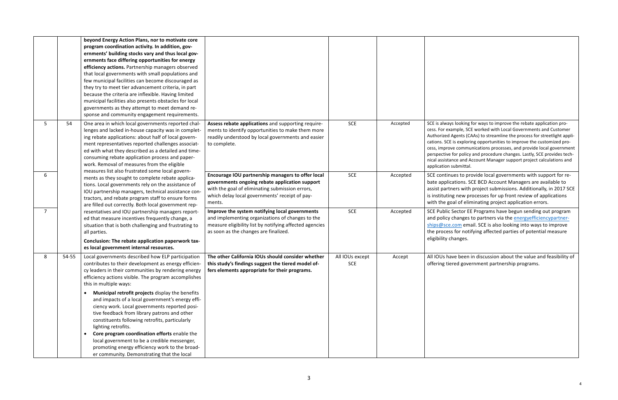s looking for ways to improve the rebate application promple, SCE worked with Local Governments and Customer Agents (CAAs) to streamline the process for streetlight appliis exploring opportunities to improve the customized proexter communications processes, and provide local government for policy and procedure changes. Lastly, SCE provides technce and Account Manager support project calculations and ubmittal.

les to provide local governments with support for reations. SCE BCD Account Managers are available to ers with project submissions. Additionally, in 2017 SCE Inew processes for up front review of applications al of eliminating project application errors.

Sector EE Programs have begun sending out program changes to partners via the **energyefficiencypartner**com email. SCE is also looking into ways to improve for notifying affected parties of potential measure hanges.

ve been in discussion about the value and feasibility of red government partnership programs.

|                |       | beyond Energy Action Plans, nor to motivate core<br>program coordination activity. In addition, gov-<br>ernments' building stocks vary and thus local gov-<br>ernments face differing opportunities for energy<br>efficiency actions. Partnership managers observed<br>that local governments with small populations and<br>few municipal facilities can become discouraged as<br>they try to meet tier advancement criteria, in part<br>because the criteria are inflexible. Having limited<br>municipal facilities also presents obstacles for local<br>governments as they attempt to meet demand re-<br>sponse and community engagement requirements.                                                                                                      |                                                                                                                                                                                                                    |                               |          |                                                                                                                                         |
|----------------|-------|----------------------------------------------------------------------------------------------------------------------------------------------------------------------------------------------------------------------------------------------------------------------------------------------------------------------------------------------------------------------------------------------------------------------------------------------------------------------------------------------------------------------------------------------------------------------------------------------------------------------------------------------------------------------------------------------------------------------------------------------------------------|--------------------------------------------------------------------------------------------------------------------------------------------------------------------------------------------------------------------|-------------------------------|----------|-----------------------------------------------------------------------------------------------------------------------------------------|
| 5              | 54    | One area in which local governments reported chal-<br>lenges and lacked in-house capacity was in complet-<br>ing rebate applications: about half of local govern-<br>ment representatives reported challenges associat-<br>ed with what they described as a detailed and time-<br>consuming rebate application process and paper-<br>work. Removal of measures from the eligible<br>measures list also frustrated some local govern-                                                                                                                                                                                                                                                                                                                           | Assess rebate applications and supporting require-<br>ments to identify opportunities to make them more<br>readily understood by local governments and easier<br>to complete.                                      | <b>SCE</b>                    | Accepted | SCE is always<br>cess. For exar<br>Authorized A<br>cations. SCE i<br>cess, improve<br>perspective f<br>nical assistan<br>application su |
| 6              |       | ments as they sought to complete rebate applica-<br>tions. Local governments rely on the assistance of<br>IOU partnership managers, technical assistance con-<br>tractors, and rebate program staff to ensure forms<br>are filled out correctly. Both local government rep-                                                                                                                                                                                                                                                                                                                                                                                                                                                                                    | Encourage IOU partnership managers to offer local<br>governments ongoing rebate application support<br>with the goal of eliminating submission errors,<br>which delay local governments' receipt of pay-<br>ments. | <b>SCE</b>                    | Accepted | <b>SCE continu</b><br>bate applica<br>assist partne<br>is instituting<br>with the goa                                                   |
| $\overline{7}$ |       | resentatives and IOU partnership managers report-<br>ed that measure incentives frequently change, a<br>situation that is both challenging and frustrating to<br>all parties.<br>Conclusion: The rebate application paperwork tax-<br>es local government internal resources.                                                                                                                                                                                                                                                                                                                                                                                                                                                                                  | Improve the system notifying local governments<br>and implementing organizations of changes to the<br>measure eligibility list by notifying affected agencies<br>as soon as the changes are finalized.             | <b>SCE</b>                    | Accepted | <b>SCE Public S</b><br>and policy c<br>ships@sce.c<br>the process<br>eligibility ch                                                     |
| 8              | 54-55 | Local governments described how ELP participation<br>contributes to their development as energy efficien-<br>cy leaders in their communities by rendering energy<br>efficiency actions visible. The program accomplishes<br>this in multiple ways:<br>Municipal retrofit projects display the benefits<br>$\bullet$<br>and impacts of a local government's energy effi-<br>ciency work. Local governments reported posi-<br>tive feedback from library patrons and other<br>constituents following retrofits, particularly<br>lighting retrofits.<br>Core program coordination efforts enable the<br>$\bullet$<br>local government to be a credible messenger,<br>promoting energy efficiency work to the broad-<br>er community. Demonstrating that the local | The other California IOUs should consider whether<br>this study's findings suggest the tiered model of-<br>fers elements appropriate for their programs.                                                           | All IOUs except<br><b>SCE</b> | Accept   | All IOUs hav<br>offering tier                                                                                                           |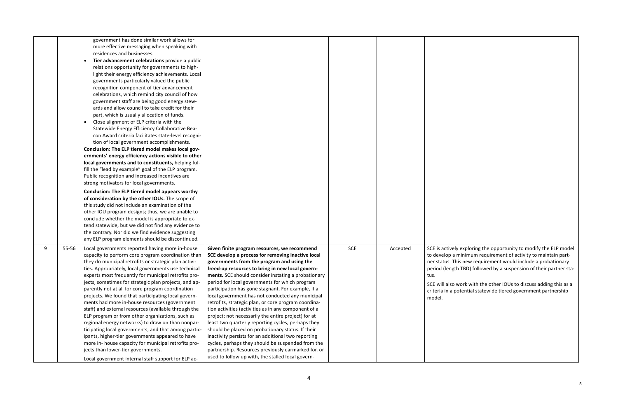rely exploring the opportunity to modify the ELP model a minimum requirement of activity to maintain part-This new requirement would include a probationary gth TBD) followed by a suspension of their partner sta-

so work with the other IOUs to discuss adding this as a  $\alpha$  potential statewide tiered government partnership

|   |       | government has done similar work allows for<br>more effective messaging when speaking with<br>residences and businesses.<br>Tier advancement celebrations provide a public<br>relations opportunity for governments to high-<br>light their energy efficiency achievements. Local<br>governments particularly valued the public<br>recognition component of tier advancement<br>celebrations, which remind city council of how<br>government staff are being good energy stew-<br>ards and allow council to take credit for their<br>part, which is usually allocation of funds.<br>Close alignment of ELP criteria with the<br>$\bullet$<br>Statewide Energy Efficiency Collaborative Bea-<br>con Award criteria facilitates state-level recogni-<br>tion of local government accomplishments.<br>Conclusion: The ELP tiered model makes local gov-<br>ernments' energy efficiency actions visible to other<br>local governments and to constituents, helping ful-<br>fill the "lead by example" goal of the ELP program.<br>Public recognition and increased incentives are<br>strong motivators for local governments.<br>Conclusion: The ELP tiered model appears worthy<br>of consideration by the other IOUs. The scope of<br>this study did not include an examination of the<br>other IOU program designs; thus, we are unable to<br>conclude whether the model is appropriate to ex-<br>tend statewide, but we did not find any evidence to<br>the contrary. Nor did we find evidence suggesting<br>any ELP program elements should be discontinued. |                                                                                                                                                                                                                                                                                                                                                                                                                                                                                                                                                                                                                                                                                                                                                                                                                                                                                                                                  |            |          |                                                                                                                |
|---|-------|---------------------------------------------------------------------------------------------------------------------------------------------------------------------------------------------------------------------------------------------------------------------------------------------------------------------------------------------------------------------------------------------------------------------------------------------------------------------------------------------------------------------------------------------------------------------------------------------------------------------------------------------------------------------------------------------------------------------------------------------------------------------------------------------------------------------------------------------------------------------------------------------------------------------------------------------------------------------------------------------------------------------------------------------------------------------------------------------------------------------------------------------------------------------------------------------------------------------------------------------------------------------------------------------------------------------------------------------------------------------------------------------------------------------------------------------------------------------------------------------------------------------------------------------------------------|----------------------------------------------------------------------------------------------------------------------------------------------------------------------------------------------------------------------------------------------------------------------------------------------------------------------------------------------------------------------------------------------------------------------------------------------------------------------------------------------------------------------------------------------------------------------------------------------------------------------------------------------------------------------------------------------------------------------------------------------------------------------------------------------------------------------------------------------------------------------------------------------------------------------------------|------------|----------|----------------------------------------------------------------------------------------------------------------|
| 9 | 55-56 | Local governments reported having more in-house<br>capacity to perform core program coordination than<br>they do municipal retrofits or strategic plan activi-<br>ties. Appropriately, local governments use technical<br>experts most frequently for municipal retrofits pro-<br>jects, sometimes for strategic plan projects, and ap-<br>parently not at all for core program coordination<br>projects. We found that participating local govern-<br>ments had more in-house resources (government<br>staff) and external resources (available through the<br>ELP program or from other organizations, such as<br>regional energy networks) to draw on than nonpar-<br>ticipating local governments, and that among partic-<br>ipants, higher-tier governments appeared to have<br>more in- house capacity for municipal retrofits pro-<br>jects than lower-tier governments.<br>Local government internal staff support for ELP ac-                                                                                                                                                                                                                                                                                                                                                                                                                                                                                                                                                                                                                        | Given finite program resources, we recommend<br>SCE develop a process for removing inactive local<br>governments from the program and using the<br>freed-up resources to bring in new local govern-<br>ments. SCE should consider instating a probationary<br>period for local governments for which program<br>participation has gone stagnant. For example, if a<br>local government has not conducted any municipal<br>retrofits, strategic plan, or core program coordina-<br>tion activities (activities as in any component of a<br>project; not necessarily the entire project) for at<br>least two quarterly reporting cycles, perhaps they<br>should be placed on probationary status. If their<br>inactivity persists for an additional two reporting<br>cycles, perhaps they should be suspended from the<br>partnership. Resources previously earmarked for, or<br>used to follow up with, the stalled local govern- | <b>SCE</b> | Accepted | SCE is active<br>to develop<br>ner status.<br>period (leng<br>tus.<br>SCE will also<br>criteria in a<br>model. |